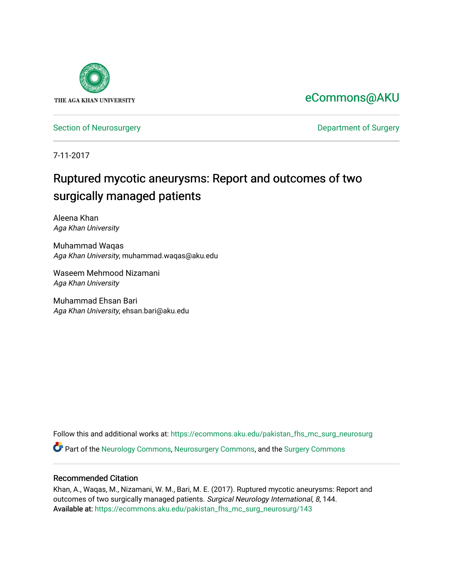

## [eCommons@AKU](https://ecommons.aku.edu/)

[Section of Neurosurgery](https://ecommons.aku.edu/pakistan_fhs_mc_surg_neurosurg) **Department of Surgery** Department of Surgery

7-11-2017

# Ruptured mycotic aneurysms: Report and outcomes of two surgically managed patients

Aleena Khan Aga Khan University

Muhammad Waqas Aga Khan University, muhammad.waqas@aku.edu

Waseem Mehmood Nizamani Aga Khan University

Muhammad Ehsan Bari Aga Khan University, ehsan.bari@aku.edu

Follow this and additional works at: [https://ecommons.aku.edu/pakistan\\_fhs\\_mc\\_surg\\_neurosurg](https://ecommons.aku.edu/pakistan_fhs_mc_surg_neurosurg?utm_source=ecommons.aku.edu%2Fpakistan_fhs_mc_surg_neurosurg%2F143&utm_medium=PDF&utm_campaign=PDFCoverPages)  Part of the [Neurology Commons](http://network.bepress.com/hgg/discipline/692?utm_source=ecommons.aku.edu%2Fpakistan_fhs_mc_surg_neurosurg%2F143&utm_medium=PDF&utm_campaign=PDFCoverPages), [Neurosurgery Commons](http://network.bepress.com/hgg/discipline/1428?utm_source=ecommons.aku.edu%2Fpakistan_fhs_mc_surg_neurosurg%2F143&utm_medium=PDF&utm_campaign=PDFCoverPages), and the [Surgery Commons](http://network.bepress.com/hgg/discipline/706?utm_source=ecommons.aku.edu%2Fpakistan_fhs_mc_surg_neurosurg%2F143&utm_medium=PDF&utm_campaign=PDFCoverPages) 

#### Recommended Citation

Khan, A., Waqas, M., Nizamani, W. M., Bari, M. E. (2017). Ruptured mycotic aneurysms: Report and outcomes of two surgically managed patients. Surgical Neurology International, 8, 144. Available at: [https://ecommons.aku.edu/pakistan\\_fhs\\_mc\\_surg\\_neurosurg/143](https://ecommons.aku.edu/pakistan_fhs_mc_surg_neurosurg/143)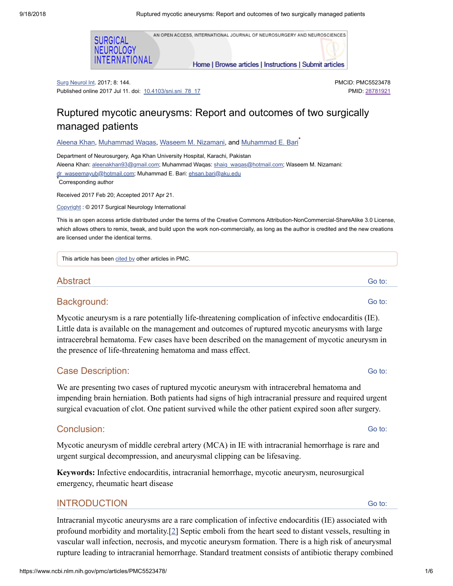



Surg Neurol Int. 2017; 8: 144. Published online 2017 Jul 11. doi: [10.4103/sni.sni\\_78\\_17](https://dx.doi.org/10.4103%2Fsni.sni_78_17) PMCID: PMC5523478 PMID: [28781921](https://www.ncbi.nlm.nih.gov/pubmed/28781921)

## Ruptured mycotic aneurysms: Report and outcomes of two surgically managed patients

[Aleena](https://www.ncbi.nlm.nih.gov/pubmed/?term=Khan%20A%5BAuthor%5D&cauthor=true&cauthor_uid=28781921) Khan, [Muhammad](https://www.ncbi.nlm.nih.gov/pubmed/?term=Bari%20ME%5BAuthor%5D&cauthor=true&cauthor_uid=28781921) Waqas, Waseem M. [Nizamani,](https://www.ncbi.nlm.nih.gov/pubmed/?term=Nizamani%20WM%5BAuthor%5D&cauthor=true&cauthor_uid=28781921) and <u>Muhammad E. Bari</u>້

Department of Neurosurgery, Aga Khan University Hospital, Karachi, Pakistan Aleena Khan: [aleenakhan93@gmail.com](mailto:dev@null); Muhammad Waqas: [shaiq\\_waqas@hotmail.com;](mailto:dev@null) Waseem M. Nizamani: [dr\\_waseemayub@hotmail.com;](mailto:dev@null) Muhammad E. Bari: [ehsan.bari@aku.edu](mailto:dev@null) Corresponding author \*

Received 2017 Feb 20; Accepted 2017 Apr 21.

[Copyright](https://www.ncbi.nlm.nih.gov/pmc/about/copyright/) : © 2017 Surgical Neurology International

This is an open access article distributed under the terms of the Creative Commons Attribution-NonCommercial-ShareAlike 3.0 License, which allows others to remix, tweak, and build upon the work non-commercially, as long as the author is credited and the new creations are licensed under the identical terms.

This article has been [cited](https://www.ncbi.nlm.nih.gov/pmc/articles/PMC5523478/citedby/) by other articles in PMC.

### Abstract

#### Background:

Mycotic aneurysm is a rare potentially life-threatening complication of infective endocarditis (IE). Little data is available on the management and outcomes of ruptured mycotic aneurysms with large intracerebral hematoma. Few cases have been described on the management of mycotic aneurysm in the presence of life-threatening hematoma and mass effect.

## Case Description:

We are presenting two cases of ruptured mycotic aneurysm with intracerebral hematoma and impending brain herniation. Both patients had signs of high intracranial pressure and required urgent surgical evacuation of clot. One patient survived while the other patient expired soon after surgery.

## Conclusion:

Mycotic aneurysm of middle cerebral artery (MCA) in IE with intracranial hemorrhage is rare and urgent surgical decompression, and aneurysmal clipping can be lifesaving.

**Keywords:** Infective endocarditis, intracranial hemorrhage, mycotic aneurysm, neurosurgical emergency, rheumatic heart disease

## **INTRODUCTION**

Intracranial mycotic aneurysms are a rare complication of infective endocarditis (IE) associated with profound morbidity and mortality.[[2](#page-6-0)] Septic emboli from the heart seed to distant vessels, resulting in vascular wall infection, necrosis, and mycotic aneurysm formation. There is a high risk of aneurysmal rupture leading to intracranial hemorrhage. Standard treatment consists of antibiotic therapy combined

Go to:

Go to:

Go to: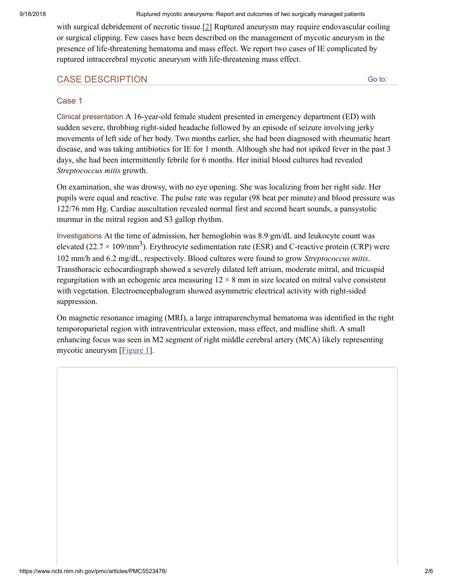with surgical debridement of necrotic tissue.[\[2\]](#page-6-0) Ruptured aneurysm may require endovascular coiling or surgical clipping. Few cases have been described on the management of mycotic aneurysm in the presence of life-threatening hematoma and mass effect. We report two cases of IE complicated by ruptured intracerebral mycotic aneurysm with life-threatening mass effect.

## CASE DESCRIPTION

Go to:

## Case 1

Clinical presentation A 16-year-old female student presented in emergency department (ED) with sudden severe, throbbing right-sided headache followed by an episode of seizure involving jerky movements of left side of her body. Two months earlier, she had been diagnosed with rheumatic heart disease, and was taking antibiotics for IE for 1 month. Although she had not spiked fever in the past 3 days, she had been intermittently febrile for 6 months. Her initial blood cultures had revealed *Streptococcus mitis* growth.

On examination, she was drowsy, with no eye opening. She was localizing from her right side. Her pupils were equal and reactive. The pulse rate was regular (98 beat per minute) and blood pressure was 122/76 mm Hg. Cardiac auscultation revealed normal first and second heart sounds, a pansystolic murmur in the mitral region and S3 gallop rhythm.

Investigations At the time of admission, her hemoglobin was 8.9 gm/dL and leukocyte count was elevated (22.7  $\times$  109/mm<sup>3</sup>). Erythrocyte sedimentation rate (ESR) and C-reactive protein (CRP) were 102 mm/h and 6.2 mg/dL, respectively. Blood cultures were found to grow *Streptococcus mitis*. Transthoracic echocardiograph showed a severely dilated left atrium, moderate mitral, and tricuspid regurgitation with an echogenic area measuring  $12 \times 8$  mm in size located on mitral valve consistent with vegetation. Electroencephalogram showed asymmetric electrical activity with right-sided suppression.

On magnetic resonance imaging (MRI), a large intraparenchymal hematoma was identified in the right temporoparietal region with intraventricular extension, mass effect, and midline shift. A small enhancing focus was seen in M2 segment of right middle cerebral artery (MCA) likely representing mycotic aneurysm [*[Figure](https://www.ncbi.nlm.nih.gov/pmc/articles/PMC5523478/figure/F1/) 1*].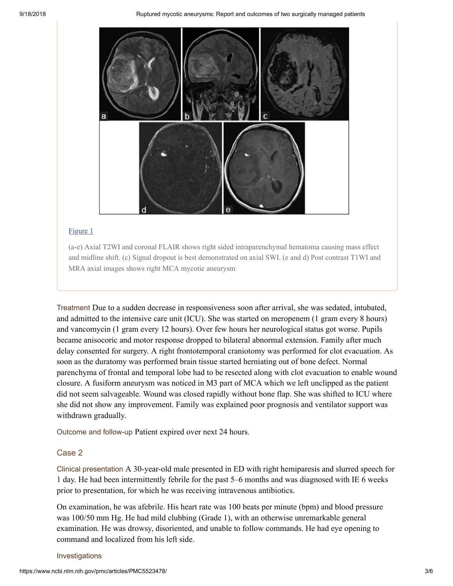

#### [Figure](https://www.ncbi.nlm.nih.gov/pmc/articles/PMC5523478/figure/F1/) 1

(a-e) Axial T2WI and coronal FLAIR shows right sided intraparenchymal hematoma causing mass effect and midline shift. (c) Signal dropout is best demonstrated on axial SWI. (e and d) Post contrast T1WI and MRA axial images shows right MCA mycotic aneurysm

Treatment Due to a sudden decrease in responsiveness soon after arrival, she was sedated, intubated, and admitted to the intensive care unit (ICU). She was started on meropenem (1 gram every 8 hours) and vancomycin (1 gram every 12 hours). Over few hours her neurological status got worse. Pupils became anisocoric and motor response dropped to bilateral abnormal extension. Family after much delay consented for surgery. A right frontotemporal craniotomy was performed for clot evacuation. As soon as the duratomy was performed brain tissue started herniating out of bone defect. Normal parenchyma of frontal and temporal lobe had to be resected along with clot evacuation to enable wound closure. A fusiform aneurysm was noticed in M3 part of MCA which we left unclipped as the patient did not seem salvageable. Wound was closed rapidly without bone flap. She was shifted to ICU where she did not show any improvement. Family was explained poor prognosis and ventilator support was withdrawn gradually.

Outcome and follow-up Patient expired over next 24 hours.

#### Case 2

Clinical presentation A 30-year-old male presented in ED with right hemiparesis and slurred speech for 1 day. He had been intermittently febrile for the past 5–6 months and was diagnosed with IE 6 weeks prior to presentation, for which he was receiving intravenous antibiotics.

On examination, he was afebrile. His heart rate was 100 beats per minute (bpm) and blood pressure was 100/50 mm Hg. He had mild clubbing (Grade 1), with an otherwise unremarkable general examination. He was drowsy, disoriented, and unable to follow commands. He had eye opening to command and localized from his left side.

#### Investigations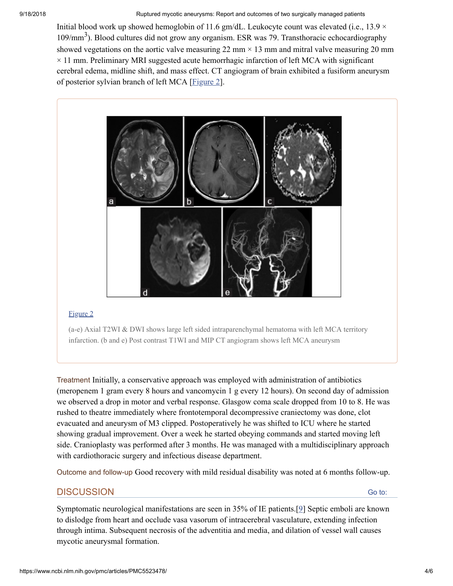Initial blood work up showed hemoglobin of 11.6 gm/dL. Leukocyte count was elevated (i.e.,  $13.9 \times$ 109/mm<sup>3</sup>). Blood cultures did not grow any organism. ESR was 79. Transthoracic echocardiography showed vegetations on the aortic valve measuring  $22 \text{ mm} \times 13 \text{ mm}$  and mitral valve measuring  $20 \text{ mm}$  $\times$  11 mm. Preliminary MRI suggested acute hemorrhagic infarction of left MCA with significant cerebral edema, midline shift, and mass effect. CT angiogram of brain exhibited a fusiform aneurysm of posterior sylvian branch of left MCA [\[Figure](https://www.ncbi.nlm.nih.gov/pmc/articles/PMC5523478/figure/F2/) 2].



#### [Figure](https://www.ncbi.nlm.nih.gov/pmc/articles/PMC5523478/figure/F2/) 2

(a-e) Axial T2WI & DWI shows large left sided intraparenchymal hematoma with left MCA territory infarction. (b and e) Post contrast T1WI and MIP CT angiogram shows left MCA aneurysm

Treatment Initially, a conservative approach was employed with administration of antibiotics (meropenem 1 gram every 8 hours and vancomycin 1 g every 12 hours). On second day of admission we observed a drop in motor and verbal response. Glasgow coma scale dropped from 10 to 8. He was rushed to theatre immediately where frontotemporal decompressive craniectomy was done, clot evacuated and aneurysm of M3 clipped. Postoperatively he was shifted to ICU where he started showing gradual improvement. Over a week he started obeying commands and started moving left side. Cranioplasty was performed after 3 months. He was managed with a multidisciplinary approach with cardiothoracic surgery and infectious disease department.

Outcome and follow-up Good recovery with mild residual disability was noted at 6 months follow-up.

#### **DISCUSSION**

Go to:

Symptomatic neurological manifestations are seen in 35% of IE patients.[[9](#page-6-1)] Septic emboli are known to dislodge from heart and occlude vasa vasorum of intracerebral vasculature, extending infection through intima. Subsequent necrosis of the adventitia and media, and dilation of vessel wall causes mycotic aneurysmal formation.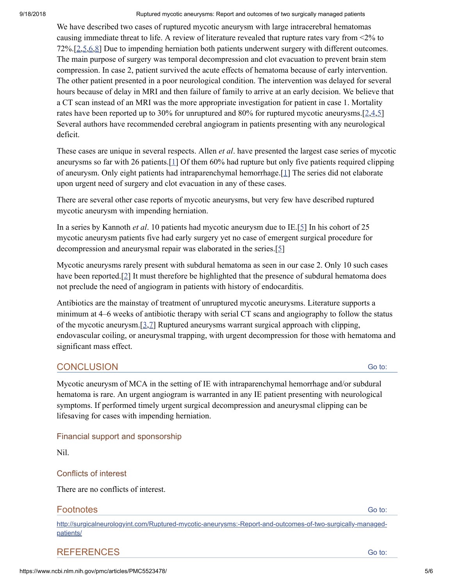We have described two cases of ruptured mycotic aneurysm with large intracerebral hematomas causing immediate threat to life. A review of literature revealed that rupture rates vary from <2% to 72%.[\[2](#page-6-0),[5](#page-6-2)[,6](#page-6-3)[,8\]](#page-6-4) Due to impending herniation both patients underwent surgery with different outcomes. The main purpose of surgery was temporal decompression and clot evacuation to prevent brain stem compression. In case 2, patient survived the acute effects of hematoma because of early intervention. The other patient presented in a poor neurological condition. The intervention was delayed for several hours because of delay in MRI and then failure of family to arrive at an early decision. We believe that a CT scan instead of an MRI was the more appropriate investigation for patient in case 1. Mortality rates have been reported up to 30% for unruptured and 80% for ruptured mycotic aneurysms.[[2](#page-6-0),[4](#page-6-5)[,5](#page-6-2)] Several authors have recommended cerebral angiogram in patients presenting with any neurological deficit.

These cases are unique in several respects. Allen *et al*. have presented the largest case series of mycotic aneurysms so far with 26 patients.[[1\]](#page-6-6) Of them 60% had rupture but only five patients required clipping of aneurysm. Only eight patients had intraparenchymal hemorrhage.[[1\]](#page-6-6) The series did not elaborate upon urgent need of surgery and clot evacuation in any of these cases.

There are several other case reports of mycotic aneurysms, but very few have described ruptured mycotic aneurysm with impending herniation.

In a series by Kannoth *et al*. 10 patients had mycotic aneurysm due to IE.[[5](#page-6-2)] In his cohort of 25 mycotic aneurysm patients five had early surgery yet no case of emergent surgical procedure for decompression and aneurysmal repair was elaborated in the series.[[5](#page-6-2)]

Mycotic aneurysms rarely present with subdural hematoma as seen in our case 2. Only 10 such cases have been reported.<sup>[[2](#page-6-0)]</sup> It must therefore be highlighted that the presence of subdural hematoma does not preclude the need of angiogram in patients with history of endocarditis.

Antibiotics are the mainstay of treatment of unruptured mycotic aneurysms. Literature supports a minimum at 4–6 weeks of antibiotic therapy with serial CT scans and angiography to follow the status of the mycotic aneurysm.[\[3,](#page-6-7)[7\]](#page-6-8) Ruptured aneurysms warrant surgical approach with clipping, endovascular coiling, or aneurysmal trapping, with urgent decompression for those with hematoma and significant mass effect.

## **CONCLUSION**

Mycotic aneurysm of MCA in the setting of IE with intraparenchymal hemorrhage and/or subdural hematoma is rare. An urgent angiogram is warranted in any IE patient presenting with neurological symptoms. If performed timely urgent surgical decompression and aneurysmal clipping can be lifesaving for cases with impending herniation.

## Financial support and sponsorship

Nil.

## Conflicts of interest

There are no conflicts of interest.

## **Footnotes**

[http://surgicalneurologyint.com/Ruptured-mycotic-aneurysms:-Report-and-outcomes-of-two-surgically-managed](http://surgicalneurologyint.com/Ruptured-mycotic-aneurysms:-Report-and-outcomes-of-two-surgically-managed-patients/)patients/

## REFERENCES

Go to:

Go to:

Go to: